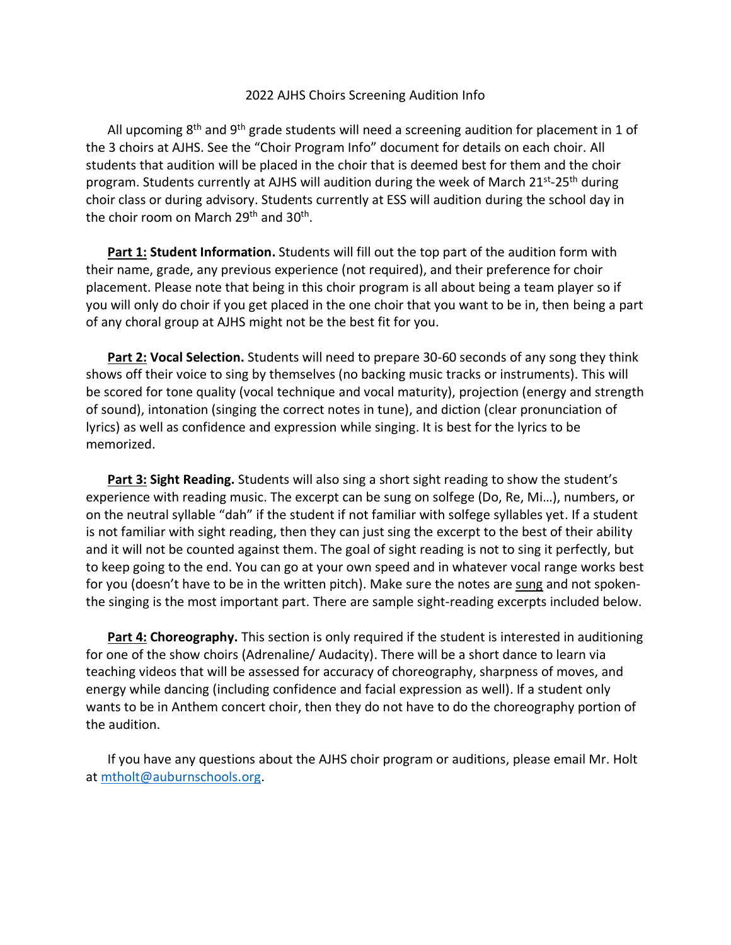## 2022 AJHS Choirs Screening Audition Info

All upcoming  $8<sup>th</sup>$  and  $9<sup>th</sup>$  grade students will need a screening audition for placement in 1 of the 3 choirs at AJHS. See the "Choir Program Info" document for details on each choir. All students that audition will be placed in the choir that is deemed best for them and the choir program. Students currently at AJHS will audition during the week of March 21<sup>st</sup>-25<sup>th</sup> during choir class or during advisory. Students currently at ESS will audition during the school day in the choir room on March 29<sup>th</sup> and 30<sup>th</sup>.

**Part 1: Student Information.** Students will fill out the top part of the audition form with their name, grade, any previous experience (not required), and their preference for choir placement. Please note that being in this choir program is all about being a team player so if you will only do choir if you get placed in the one choir that you want to be in, then being a part of any choral group at AJHS might not be the best fit for you.

**Part 2: Vocal Selection.** Students will need to prepare 30-60 seconds of any song they think shows off their voice to sing by themselves (no backing music tracks or instruments). This will be scored for tone quality (vocal technique and vocal maturity), projection (energy and strength of sound), intonation (singing the correct notes in tune), and diction (clear pronunciation of lyrics) as well as confidence and expression while singing. It is best for the lyrics to be memorized.

**Part 3: Sight Reading.** Students will also sing a short sight reading to show the student's experience with reading music. The excerpt can be sung on solfege (Do, Re, Mi…), numbers, or on the neutral syllable "dah" if the student if not familiar with solfege syllables yet. If a student is not familiar with sight reading, then they can just sing the excerpt to the best of their ability and it will not be counted against them. The goal of sight reading is not to sing it perfectly, but to keep going to the end. You can go at your own speed and in whatever vocal range works best for you (doesn't have to be in the written pitch). Make sure the notes are sung and not spokenthe singing is the most important part. There are sample sight-reading excerpts included below.

**Part 4: Choreography.** This section is only required if the student is interested in auditioning for one of the show choirs (Adrenaline/ Audacity). There will be a short dance to learn via teaching videos that will be assessed for accuracy of choreography, sharpness of moves, and energy while dancing (including confidence and facial expression as well). If a student only wants to be in Anthem concert choir, then they do not have to do the choreography portion of the audition.

If you have any questions about the AJHS choir program or auditions, please email Mr. Holt at [mtholt@auburnschools.org.](mailto:mtholt@auburnschools.org)